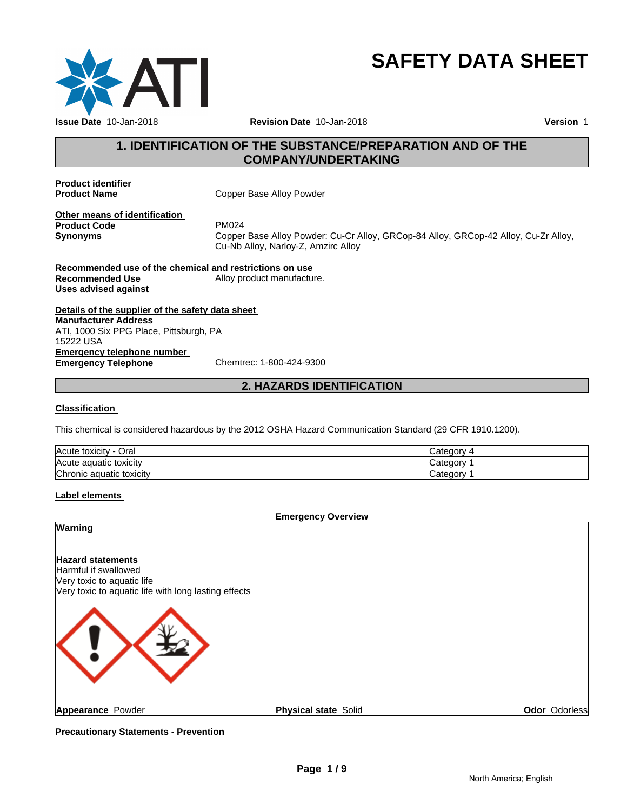

# **SAFETY DATA SHEET**

# **1. IDENTIFICATION OF THE SUBSTANCE/PREPARATION AND OF THE COMPANY/UNDERTAKING**

**Product identifier** 

**Copper Base Alloy Powder** 

**Other means of identification**<br>**Product Code** PM024 **Product Code**<br>Synonyms

**Synonyms** Copper Base Alloy Powder: Cu-Cr Alloy, GRCop-84 Alloy, GRCop-42 Alloy, Cu-Zr Alloy, Cu-Nb Alloy, Narloy-Z, Amzirc Alloy

**Recommended use of the chemical and restrictions on use Recommended Use** Alloy product manufacture. **Uses advised against**

**Details of the supplier of the safety data sheet Emergency telephone number<br>
Emergency Telephone**<br>
Chemtrec: 1-800-424-9300 **Emergency Telephone Manufacturer Address** ATI, 1000 Six PPG Place, Pittsburgh, PA 15222 USA

# **2. HAZARDS IDENTIFICATION**

#### **Classification**

This chemical is considered hazardous by the 2012 OSHA Hazard Communication Standard (29 CFR 1910.1200).

| Acute<br>Oral<br>: toxicitv     | Jategor  |
|---------------------------------|----------|
| Acute aguatic toxicity          | ategorٽ, |
| ירו<br>Chronic aquatic toxicity | : ategor |

# **Label elements**

#### **Emergency Overview**

|                                                                                                                                        | ________<br>--------        |               |
|----------------------------------------------------------------------------------------------------------------------------------------|-----------------------------|---------------|
| Warning                                                                                                                                |                             |               |
| <b>Hazard statements</b><br>Harmful if swallowed<br>Very toxic to aquatic life<br>Very toxic to aquatic life with long lasting effects |                             |               |
|                                                                                                                                        |                             |               |
| Appearance Powder                                                                                                                      | <b>Physical state Solid</b> | Odor Odorless |

**Precautionary Statements - Prevention**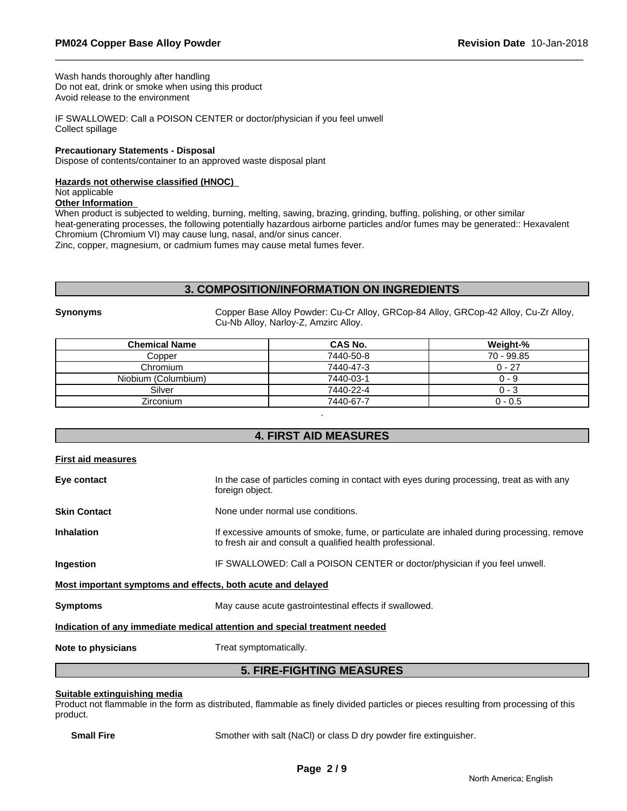Wash hands thoroughly after handling Do not eat, drink or smoke when using this product Avoid release to the environment

IF SWALLOWED: Call a POISON CENTER or doctor/physician if you feel unwell Collect spillage

#### **Precautionary Statements - Disposal**

Dispose of contents/container to an approved waste disposal plant

#### **Hazards not otherwise classified (HNOC)**

Not applicable

#### **Other Information**

When product is subjected to welding, burning, melting, sawing, brazing, grinding, buffing, polishing, or other similar heat-generating processes, the following potentially hazardous airborne particles and/or fumes may be generated:: Hexavalent Chromium (Chromium VI) may cause lung, nasal, and/or sinus cancer.

Zinc, copper, magnesium, or cadmium fumes may cause metal fumes fever.

# **3. COMPOSITION/INFORMATION ON INGREDIENTS**

**Synonyms** Copper Base Alloy Powder: Cu-Cr Alloy, GRCop-84 Alloy, GRCop-42 Alloy, Cu-Zr Alloy, Cu-Nb Alloy, Narloy-Z, Amzirc Alloy.

| <b>Chemical Name</b> | CAS No.   | Weight-%     |
|----------------------|-----------|--------------|
| Copper               | 7440-50-8 | $70 - 99.85$ |
| Chromium             | 7440-47-3 | $0 - 27$     |
| Niobium (Columbium)  | 7440-03-1 | 0 - 9        |
| Silver               | 7440-22-4 | 0 - 3        |
| Zirconium            | 7440-67-7 | $0 - 0.5$    |
|                      |           |              |

# **4. FIRST AID MEASURES**

| First aid measures  |                                                                                                                                                        |
|---------------------|--------------------------------------------------------------------------------------------------------------------------------------------------------|
| Eye contact         | In the case of particles coming in contact with eyes during processing, treat as with any<br>foreign object.                                           |
| <b>Skin Contact</b> | None under normal use conditions.                                                                                                                      |
| <b>Inhalation</b>   | If excessive amounts of smoke, fume, or particulate are inhaled during processing, remove<br>to fresh air and consult a qualified health professional. |
| Ingestion           | IF SWALLOWED: Call a POISON CENTER or doctor/physician if you feel unwell.                                                                             |
|                     | Most important symptoms and effects, both acute and delayed                                                                                            |
| <b>Symptoms</b>     | May cause acute gastrointestinal effects if swallowed.                                                                                                 |
|                     | Indication of any immediate medical attention and special treatment needed                                                                             |
| Note to physicians  | Treat symptomatically.                                                                                                                                 |
|                     | <b>5. FIRE-FIGHTING MEASURES</b>                                                                                                                       |

#### **Suitable extinguishing media**

Product not flammable in the form as distributed, flammable as finely divided particles or pieces resulting from processing of this product.

**Small Fire** Smother with salt (NaCl) or class D dry powder fire extinguisher.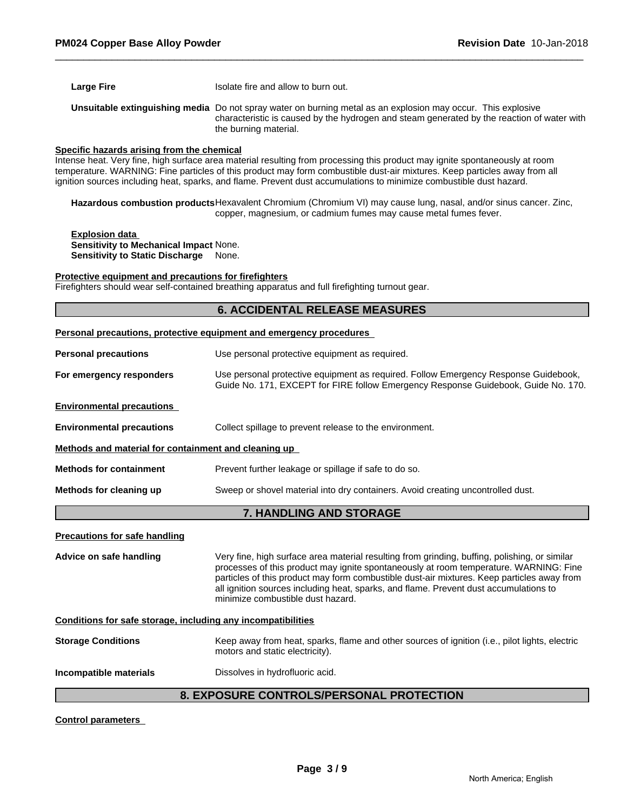| <b>Large Fire</b> | Isolate fire and allow to burn out.                                                                                                                                                                                                        |
|-------------------|--------------------------------------------------------------------------------------------------------------------------------------------------------------------------------------------------------------------------------------------|
|                   | <b>Unsuitable extinguishing media</b> Do not spray water on burning metal as an explosion may occur. This explosive<br>characteristic is caused by the hydrogen and steam generated by the reaction of water with<br>the burning material. |

#### **Specific hazards arising from the chemical**

Intense heat. Very fine, high surface area material resulting from processing this product may ignite spontaneously at room temperature. WARNING: Fine particles of this product may form combustible dust-air mixtures. Keep particles away from all ignition sources including heat, sparks, and flame. Prevent dust accumulations to minimize combustible dust hazard.

**Hazardous combustion products**Hexavalent Chromium (Chromium VI) may cause lung, nasal, and/or sinus cancer. Zinc, copper, magnesium, or cadmium fumes may cause metal fumes fever.

**Explosion data Sensitivity to Mechanical Impact** None. **Sensitivity to Static Discharge** None.

#### **Protective equipment and precautions for firefighters**

Firefighters should wear self-contained breathing apparatus and full firefighting turnout gear.

# **6. ACCIDENTAL RELEASE MEASURES**

|                                                              | <b>Personal precautions, protective equipment and emergency procedures</b>                                                                                                                                                                                                                                                                                                                                         |  |  |  |
|--------------------------------------------------------------|--------------------------------------------------------------------------------------------------------------------------------------------------------------------------------------------------------------------------------------------------------------------------------------------------------------------------------------------------------------------------------------------------------------------|--|--|--|
| <b>Personal precautions</b>                                  | Use personal protective equipment as required.                                                                                                                                                                                                                                                                                                                                                                     |  |  |  |
| For emergency responders                                     | Use personal protective equipment as required. Follow Emergency Response Guidebook,<br>Guide No. 171, EXCEPT for FIRE follow Emergency Response Guidebook, Guide No. 170.                                                                                                                                                                                                                                          |  |  |  |
| <b>Environmental precautions</b>                             |                                                                                                                                                                                                                                                                                                                                                                                                                    |  |  |  |
| <b>Environmental precautions</b>                             | Collect spillage to prevent release to the environment.                                                                                                                                                                                                                                                                                                                                                            |  |  |  |
| Methods and material for containment and cleaning up         |                                                                                                                                                                                                                                                                                                                                                                                                                    |  |  |  |
| <b>Methods for containment</b>                               | Prevent further leakage or spillage if safe to do so.                                                                                                                                                                                                                                                                                                                                                              |  |  |  |
| Methods for cleaning up                                      | Sweep or shovel material into dry containers. Avoid creating uncontrolled dust.                                                                                                                                                                                                                                                                                                                                    |  |  |  |
|                                                              | 7. HANDLING AND STORAGE                                                                                                                                                                                                                                                                                                                                                                                            |  |  |  |
| <b>Precautions for safe handling</b>                         |                                                                                                                                                                                                                                                                                                                                                                                                                    |  |  |  |
| Advice on safe handling                                      | Very fine, high surface area material resulting from grinding, buffing, polishing, or similar<br>processes of this product may ignite spontaneously at room temperature. WARNING: Fine<br>particles of this product may form combustible dust-air mixtures. Keep particles away from<br>all ignition sources including heat, sparks, and flame. Prevent dust accumulations to<br>minimize combustible dust hazard. |  |  |  |
| Conditions for safe storage, including any incompatibilities |                                                                                                                                                                                                                                                                                                                                                                                                                    |  |  |  |
| <b>Storage Conditions</b>                                    | Keep away from heat, sparks, flame and other sources of ignition (i.e., pilot lights, electric<br>motors and static electricity).                                                                                                                                                                                                                                                                                  |  |  |  |
| Incompatible materials                                       | Dissolves in hydrofluoric acid.                                                                                                                                                                                                                                                                                                                                                                                    |  |  |  |

# **8. EXPOSURE CONTROLS/PERSONAL PROTECTION**

**Control parameters**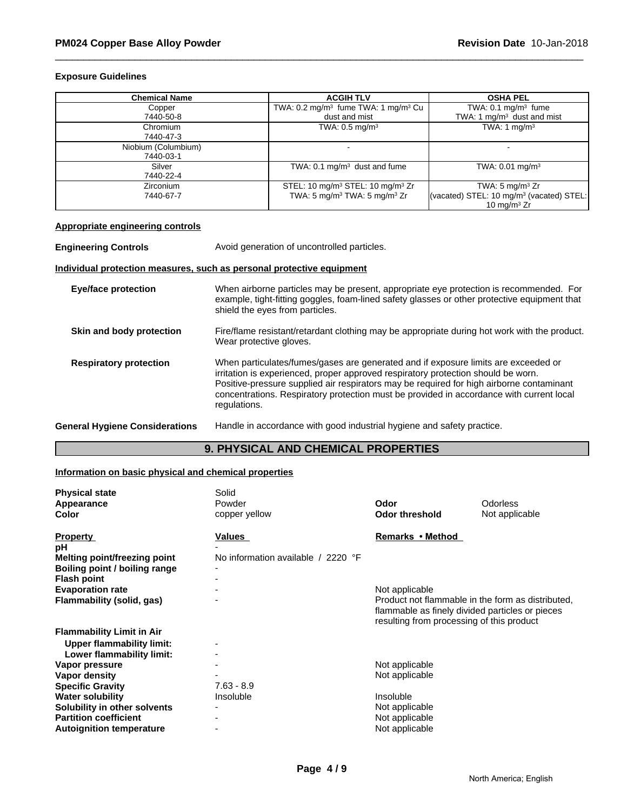### **Exposure Guidelines**

| <b>Chemical Name</b> | <b>ACGIH TLV</b>                                           | <b>OSHA PEL</b>                                                        |
|----------------------|------------------------------------------------------------|------------------------------------------------------------------------|
| Copper               | TWA: $0.2 \text{ mg/m}^3$ fume TWA: 1 mg/m <sup>3</sup> Cu | TWA: $0.1 \text{ mg/m}^3$ fume                                         |
| 7440-50-8            | dust and mist                                              | TWA: 1 $mq/m3$ dust and mist                                           |
| Chromium             | TWA: $0.5$ mg/m <sup>3</sup>                               | TWA: 1 $mq/m3$                                                         |
| 7440-47-3            |                                                            |                                                                        |
| Niobium (Columbium)  |                                                            |                                                                        |
| 7440-03-1            |                                                            |                                                                        |
| Silver               | TWA: $0.1 \text{ mg/m}^3$ dust and fume                    | TWA: $0.01 \text{ mg/m}^3$                                             |
| 7440-22-4            |                                                            |                                                                        |
| <b>Zirconium</b>     | STEL: 10 mg/m <sup>3</sup> STEL: 10 mg/m <sup>3</sup> Zr   | TWA: $5 \text{ mg/m}^3$ Zr                                             |
| 7440-67-7            | TWA: 5 mg/m <sup>3</sup> TWA: 5 mg/m <sup>3</sup> Zr       | (vacated) STEL: 10 mg/m <sup>3</sup> (vacated) STEL:<br>10 mg/m $3$ Zr |

# **Appropriate engineering controls**

**Engineering Controls** Avoid generation of uncontrolled particles.

### **Individual protection measures, such as personal protective equipment**

| <b>Eye/face protection</b>            | When airborne particles may be present, appropriate eye protection is recommended. For<br>example, tight-fitting goggles, foam-lined safety glasses or other protective equipment that<br>shield the eyes from particles.                                                                                                                                                       |
|---------------------------------------|---------------------------------------------------------------------------------------------------------------------------------------------------------------------------------------------------------------------------------------------------------------------------------------------------------------------------------------------------------------------------------|
| Skin and body protection              | Fire/flame resistant/retardant clothing may be appropriate during hot work with the product.<br>Wear protective gloves.                                                                                                                                                                                                                                                         |
| <b>Respiratory protection</b>         | When particulates/fumes/gases are generated and if exposure limits are exceeded or<br>irritation is experienced, proper approved respiratory protection should be worn.<br>Positive-pressure supplied air respirators may be required for high airborne contaminant<br>concentrations. Respiratory protection must be provided in accordance with current local<br>regulations. |
| <b>General Hygiene Considerations</b> | Handle in accordance with good industrial hygiene and safety practice.                                                                                                                                                                                                                                                                                                          |

# **9. PHYSICAL AND CHEMICAL PROPERTIES**

# **Information on basic physical and chemical properties**

| <b>Physical state</b>            | Solid                              |                                                 |                                                   |
|----------------------------------|------------------------------------|-------------------------------------------------|---------------------------------------------------|
| Appearance                       | Powder                             | Odor                                            | Odorless                                          |
| <b>Color</b>                     | copper yellow                      | Odor threshold                                  | Not applicable                                    |
|                                  | Values                             | Remarks • Method                                |                                                   |
| <b>Property</b><br>рH            |                                    |                                                 |                                                   |
| Melting point/freezing point     | No information available / 2220 °F |                                                 |                                                   |
| Boiling point / boiling range    |                                    |                                                 |                                                   |
| <b>Flash point</b>               |                                    |                                                 |                                                   |
| <b>Evaporation rate</b>          |                                    | Not applicable                                  |                                                   |
| Flammability (solid, gas)        |                                    |                                                 | Product not flammable in the form as distributed. |
|                                  |                                    | flammable as finely divided particles or pieces |                                                   |
|                                  |                                    | resulting from processing of this product       |                                                   |
| <b>Flammability Limit in Air</b> |                                    |                                                 |                                                   |
| <b>Upper flammability limit:</b> |                                    |                                                 |                                                   |
| Lower flammability limit:        |                                    |                                                 |                                                   |
| Vapor pressure                   |                                    | Not applicable                                  |                                                   |
| Vapor density                    |                                    | Not applicable                                  |                                                   |
| <b>Specific Gravity</b>          | $7.63 - 8.9$                       |                                                 |                                                   |
| <b>Water solubility</b>          | Insoluble                          | Insoluble                                       |                                                   |
| Solubility in other solvents     |                                    | Not applicable                                  |                                                   |
| <b>Partition coefficient</b>     |                                    | Not applicable                                  |                                                   |
| <b>Autoignition temperature</b>  | $\overline{\phantom{a}}$           | Not applicable                                  |                                                   |
|                                  |                                    |                                                 |                                                   |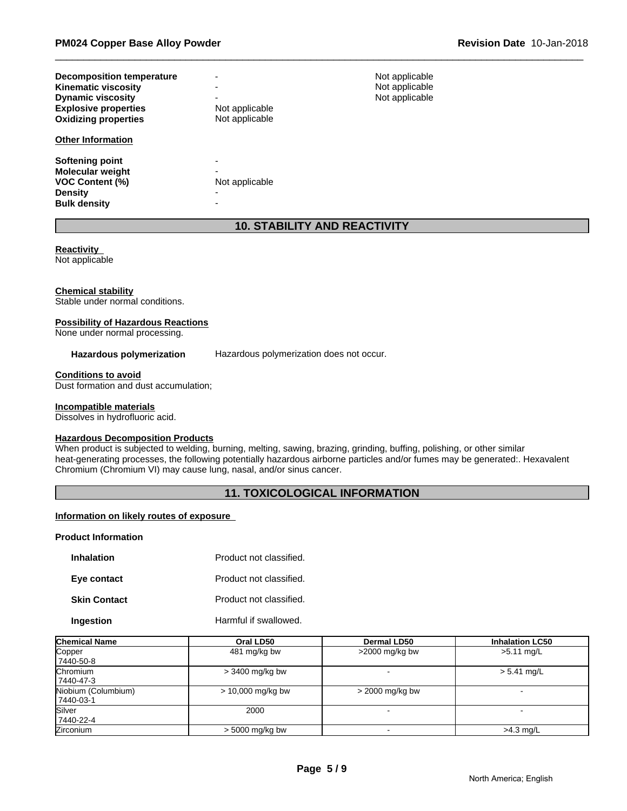| <b>Decomposition temperature</b><br><b>Kinematic viscosity</b><br><b>Dynamic viscosity</b><br><b>Explosive properties</b><br><b>Oxidizing properties</b> | $\overline{\phantom{0}}$<br>Not applicable<br>Not applicable | Not applicable<br>Not applicable<br>Not applicable |
|----------------------------------------------------------------------------------------------------------------------------------------------------------|--------------------------------------------------------------|----------------------------------------------------|
| <b>Other Information</b>                                                                                                                                 |                                                              |                                                    |
| Softening point<br><b>Molecular weight</b><br><b>VOC Content (%)</b><br><b>Density</b><br><b>Bulk density</b>                                            | -<br>Not applicable<br>-                                     |                                                    |

# **10. STABILITY AND REACTIVITY**

**Reactivity**  Not applicable

#### **Chemical stability**

Stable under normal conditions.

#### **Possibility of Hazardous Reactions**

None under normal processing.

Hazardous polymerization Hazardous polymerization does not occur.

#### **Conditions to avoid**

Dust formation and dust accumulation;

#### **Incompatible materials**

Dissolves in hydrofluoric acid.

#### **Hazardous Decomposition Products**

When product is subjected to welding, burning, melting, sawing, brazing, grinding, buffing, polishing, or other similar heat-generating processes, the following potentially hazardous airborne particles and/or fumes may be generated:. Hexavalent Chromium (Chromium VI) may cause lung, nasal, and/or sinus cancer.

# **11. TOXICOLOGICAL INFORMATION**

#### **Information on likely routes of exposure**

#### **Product Information**

| <b>Inhalation</b>   | Product not classified. |
|---------------------|-------------------------|
| Eye contact         | Product not classified. |
| <b>Skin Contact</b> | Product not classified. |
| Ingestion           | Harmful if swallowed.   |

| <b>Chemical Name</b>             | Oral LD50           | Dermal LD50       | <b>Inhalation LC50</b>   |
|----------------------------------|---------------------|-------------------|--------------------------|
| Copper<br>7440-50-8              | 481 mg/kg bw        | $>$ 2000 mg/kg bw | $>5.11$ mg/L             |
| Chromium<br>7440-47-3            | $>$ 3400 mg/kg bw   |                   | $> 5.41$ mg/L            |
| Niobium (Columbium)<br>7440-03-1 | $> 10,000$ mg/kg bw | > 2000 mg/kg bw   | $\overline{\phantom{0}}$ |
| Silver<br>7440-22-4              | 2000                |                   |                          |
| <b>Zirconium</b>                 | $> 5000$ mg/kg bw   |                   | $>4.3$ mg/L              |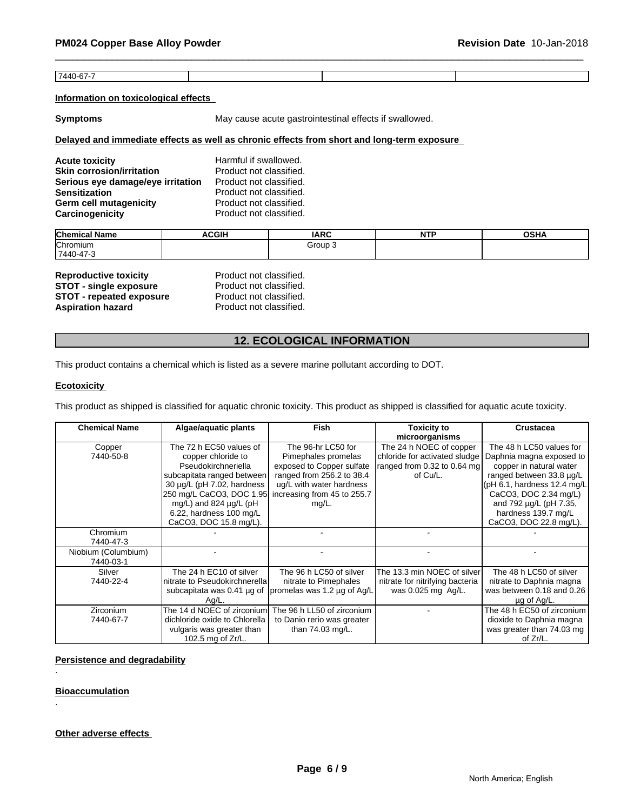7440-67-7

#### **Information on toxicological effects**

**Symptoms** May cause acute gastrointestinal effects if swallowed.

# **Delayed and immediate effects as well as chronic effects from short and long-term exposure**

| <b>Acute toxicity</b>             | Harmful if swallowed.   |
|-----------------------------------|-------------------------|
| <b>Skin corrosion/irritation</b>  | Product not classified. |
| Serious eye damage/eye irritation | Product not classified. |
| <b>Sensitization</b>              | Product not classified. |
| <b>Germ cell mutagenicity</b>     | Product not classified. |
| Carcinogenicity                   | Product not classified. |

| <b>Chemical</b><br>.<br>∣ Name | <b>ACGIH</b> | <b>IARC</b> | NITO<br>. . | OCDA<br>∪ə⊓r |
|--------------------------------|--------------|-------------|-------------|--------------|
| <b>Chromium</b>                |              | Group       |             |              |
| $17440 - 47$ - $\sigma$        |              |             |             |              |

| <b>Reproductive toxicity</b>    | Product not classified. |
|---------------------------------|-------------------------|
| <b>STOT - single exposure</b>   | Product not classified. |
| <b>STOT - repeated exposure</b> | Product not classified. |
| <b>Aspiration hazard</b>        | Product not classified. |

# **12. ECOLOGICAL INFORMATION**

This product contains a chemical which is listed as a severe marine pollutant according to DOT.

#### **Ecotoxicity**

This product as shipped is classified for aquatic chronic toxicity. This product as shipped is classified for aquatic acute toxicity.

| <b>Chemical Name</b> | Algae/aquatic plants          | <b>Fish</b>                 | <b>Toxicity to</b>              | <b>Crustacea</b>              |
|----------------------|-------------------------------|-----------------------------|---------------------------------|-------------------------------|
|                      |                               |                             | microorganisms                  |                               |
| Copper               | The 72 h EC50 values of       | The 96-hr LC50 for          | The 24 h NOEC of copper         | The 48 h LC50 values for      |
| 7440-50-8            | copper chloride to            | Pimephales promelas         | chloride for activated sludge   | Daphnia magna exposed to      |
|                      | Pseudokirchneriella           | exposed to Copper sulfate   | ranged from 0.32 to 0.64 mg     | copper in natural water       |
|                      | subcapitata ranged between    | ranged from 256.2 to 38.4   | of Cu/L.                        | ranged between 33.8 µg/L      |
|                      | 30 µg/L (pH 7.02, hardness    | ug/L with water hardness    |                                 | $(pH 6.1,$ hardness 12.4 mg/L |
|                      | 250 mg/L CaCO3, DOC 1.95      | increasing from 45 to 255.7 |                                 | CaCO3, DOC 2.34 mg/L)         |
|                      | mg/L) and 824 µg/L (pH        | $mg/L$ .                    |                                 | and 792 µg/L (pH 7.35,        |
|                      | 6.22, hardness 100 mg/L       |                             |                                 | hardness 139.7 mg/L           |
|                      | CaCO3, DOC 15.8 mg/L).        |                             |                                 | CaCO3, DOC 22.8 mg/L).        |
| Chromium             |                               |                             |                                 |                               |
| 7440-47-3            |                               |                             |                                 |                               |
| Niobium (Columbium)  |                               |                             |                                 | ۰                             |
| 7440-03-1            |                               |                             |                                 |                               |
| Silver               | The 24 h EC10 of silver       | The 96 h LC50 of silver     | The 13.3 min NOEC of silver     | The 48 h LC50 of silver       |
| 7440-22-4            | nitrate to Pseudokirchnerella | nitrate to Pimephales       | nitrate for nitrifying bacteria | nitrate to Daphnia magna      |
|                      | subcapitata was 0.41 µg of    | promelas was 1.2 µg of Ag/L | was 0.025 mg Ag/L.              | was between 0.18 and 0.26     |
|                      | Ag/L.                         |                             |                                 | $\mu$ g of Ag/L.              |
| <b>Zirconium</b>     | The 14 d NOEC of zirconium    | The 96 h LL50 of zirconium  |                                 | The 48 h EC50 of zirconium    |
| 7440-67-7            | dichloride oxide to Chlorella | to Danio rerio was greater  |                                 | dioxide to Daphnia magna      |
|                      | vulgaris was greater than     | than 74.03 mg/L.            |                                 | was greater than 74.03 mg     |
|                      | 102.5 mg of Zr/L.             |                             |                                 | of Zr/L.                      |

### **Persistence and degradability**

### **Bioaccumulation**

.

.

# **Other adverse effects**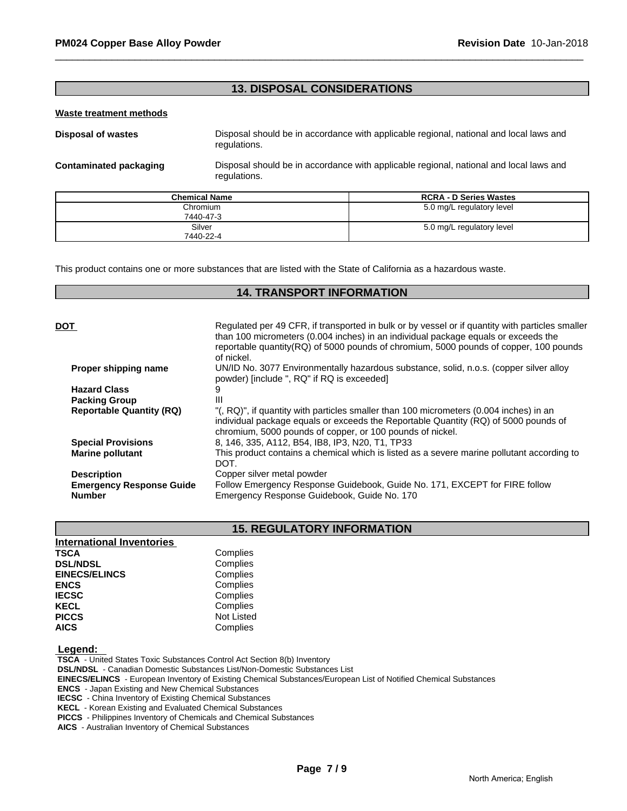# **13. DISPOSAL CONSIDERATIONS**

#### **Waste treatment methods**

**Disposal of wastes** Disposal should be in accordance with applicable regional, national and local laws and regulations.

**Contaminated packaging** Disposal should be in accordance with applicable regional, national and local laws and regulations.

| <b>Chemical Name</b> | <b>RCRA - D Series Wastes</b> |
|----------------------|-------------------------------|
| Chromium             | 5.0 mg/L regulatory level     |
| 7440-47-3            |                               |
| Silver               | 5.0 mg/L regulatory level     |
| 7440-22-4            |                               |

This product contains one or more substances that are listed with the State of California as a hazardous waste.

# **14. TRANSPORT INFORMATION**

| DOT                                              | Regulated per 49 CFR, if transported in bulk or by vessel or if quantity with particles smaller<br>than 100 micrometers (0.004 inches) in an individual package equals or exceeds the<br>reportable quantity (RQ) of 5000 pounds of chromium, 5000 pounds of copper, 100 pounds<br>of nickel. |
|--------------------------------------------------|-----------------------------------------------------------------------------------------------------------------------------------------------------------------------------------------------------------------------------------------------------------------------------------------------|
| Proper shipping name                             | UN/ID No. 3077 Environmentally hazardous substance, solid, n.o.s. (copper silver alloy<br>powder) [include ", RQ" if RQ is exceeded]                                                                                                                                                          |
| <b>Hazard Class</b>                              |                                                                                                                                                                                                                                                                                               |
| <b>Packing Group</b>                             | Ш                                                                                                                                                                                                                                                                                             |
| <b>Reportable Quantity (RQ)</b>                  | "(, RQ)", if quantity with particles smaller than 100 micrometers (0.004 inches) in an<br>individual package equals or exceeds the Reportable Quantity (RQ) of 5000 pounds of<br>chromium, 5000 pounds of copper, or 100 pounds of nickel.                                                    |
| <b>Special Provisions</b>                        | 8, 146, 335, A112, B54, IB8, IP3, N20, T1, TP33                                                                                                                                                                                                                                               |
| <b>Marine pollutant</b>                          | This product contains a chemical which is listed as a severe marine pollutant according to<br>DOT.                                                                                                                                                                                            |
| <b>Description</b>                               | Copper silver metal powder                                                                                                                                                                                                                                                                    |
| <b>Emergency Response Guide</b><br><b>Number</b> | Follow Emergency Response Guidebook, Guide No. 171, EXCEPT for FIRE follow<br>Emergency Response Guidebook, Guide No. 170                                                                                                                                                                     |
|                                                  |                                                                                                                                                                                                                                                                                               |

# **15. REGULATORY INFORMATION**

| <b>International Inventories</b> |                   |
|----------------------------------|-------------------|
| <b>TSCA</b>                      | Complies          |
| <b>DSL/NDSL</b>                  | Complies          |
| <b>EINECS/ELINCS</b>             | Complies          |
| <b>ENCS</b>                      | Complies          |
| <b>IECSC</b>                     | Complies          |
| <b>KECL</b>                      | Complies          |
| <b>PICCS</b>                     | <b>Not Listed</b> |
| <b>AICS</b>                      | Complies          |

# **Legend:**

 **TSCA** - United States Toxic Substances Control Act Section 8(b) Inventory

 **DSL/NDSL** - Canadian Domestic Substances List/Non-Domestic Substances List

 **EINECS/ELINCS** - European Inventory of Existing Chemical Substances/European List of Notified Chemical Substances

 **ENCS** - Japan Existing and New Chemical Substances

 **IECSC** - China Inventory of Existing Chemical Substances

 **KECL** - Korean Existing and Evaluated Chemical Substances

 **PICCS** - Philippines Inventory of Chemicals and Chemical Substances

 **AICS** - Australian Inventory of Chemical Substances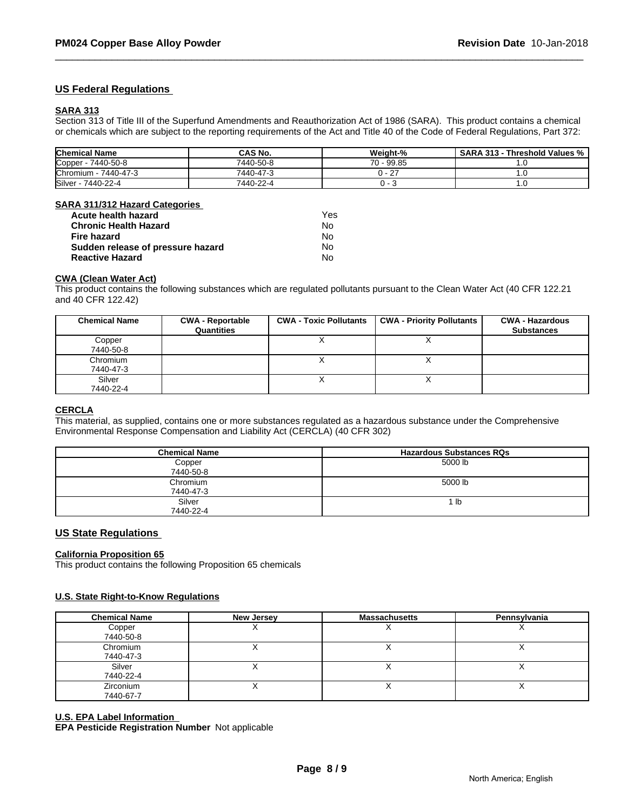# **US Federal Regulations**

#### **SARA 313**

Section 313 of Title III of the Superfund Amendments and Reauthorization Act of 1986 (SARA). This product contains a chemical or chemicals which are subject to the reporting requirements of the Act and Title 40 of the Code of Federal Regulations, Part 372:

| <b>Chemical Name</b>         | <b>CAS No.</b> | Weight-%        | <b>SARA 313</b><br>⋅ Threshold Values % |
|------------------------------|----------------|-----------------|-----------------------------------------|
| Copper -<br>7440-50-8        | 7440-50-8      | 99.85 - ر<br>70 | $\cdot \cdot$                           |
| <b>Chromium</b><br>7440-47-3 | 7440-47-3      |                 |                                         |
| Silver<br>7440-22-4          | 7440-22-4      |                 | ن ا                                     |

#### **SARA 311/312 Hazard Categories**

| Acute health hazard               | Yes |
|-----------------------------------|-----|
| <b>Chronic Health Hazard</b>      | N٥  |
| Fire hazard                       | Nο  |
| Sudden release of pressure hazard | N٥  |
| <b>Reactive Hazard</b>            | No  |

#### **CWA (Clean Water Act)**

This product contains the following substances which are regulated pollutants pursuant to the Clean Water Act (40 CFR 122.21 and 40 CFR 122.42)

| <b>Chemical Name</b>  | <b>CWA - Reportable</b><br>Quantities | <b>CWA - Toxic Pollutants</b> | <b>CWA - Priority Pollutants</b> | <b>CWA - Hazardous</b><br><b>Substances</b> |
|-----------------------|---------------------------------------|-------------------------------|----------------------------------|---------------------------------------------|
| Copper<br>7440-50-8   |                                       |                               | ↗                                |                                             |
| Chromium<br>7440-47-3 |                                       |                               | $\lambda$                        |                                             |
| Silver<br>7440-22-4   |                                       |                               | ⌒                                |                                             |

#### **CERCLA**

This material, as supplied, contains one or more substances regulated as a hazardous substance under the Comprehensive Environmental Response Compensation and Liability Act (CERCLA) (40 CFR 302)

| <b>Chemical Name</b> | <b>Hazardous Substances RQs</b> |
|----------------------|---------------------------------|
| Copper               | 5000 lb                         |
| 7440-50-8            |                                 |
| Chromium             | 5000 lb                         |
| 7440-47-3            |                                 |
| Silver               | lb                              |
| 7440-22-4            |                                 |

# **US State Regulations**

#### **California Proposition 65**

This product contains the following Proposition 65 chemicals

#### **U.S. State Right-to-Know Regulations**

| <b>Chemical Name</b>   | New Jersey | <b>Massachusetts</b>     | Pennsylvania             |
|------------------------|------------|--------------------------|--------------------------|
| Copper<br>7440-50-8    |            | $\overline{\phantom{a}}$ | $\lambda$                |
| Chromium<br>7440-47-3  |            |                          | $\overline{\phantom{a}}$ |
| Silver<br>7440-22-4    |            |                          | $\lambda$                |
| Zirconium<br>7440-67-7 |            |                          |                          |

#### **U.S. EPA Label Information**

**EPA Pesticide Registration Number** Not applicable